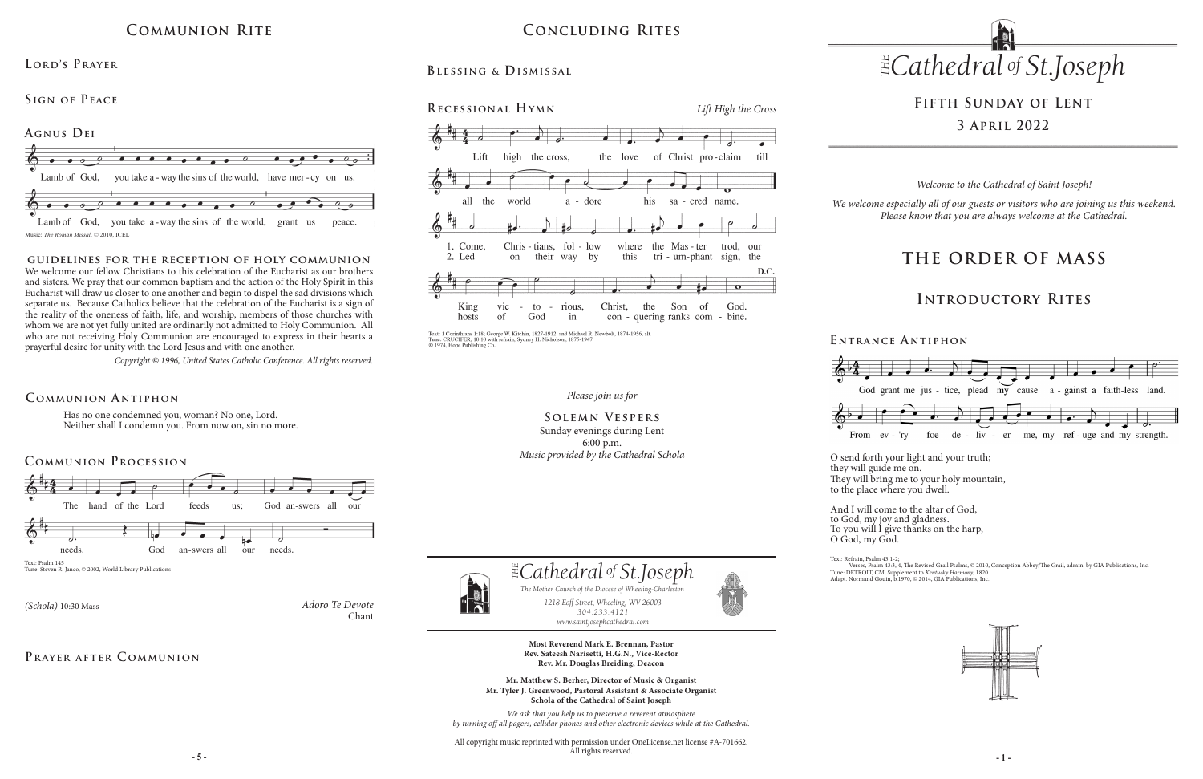*Please join us for*

#### **Solemn Vespers** Sunday evenings during Lent 6:00 p.m. *Music provided by the Cathedral Schola*



# **Fifth Sunday of Lent 3 April 2022**

Has no one condemned you, woman? No one, Lord. Neither shall I condemn you. From now on, sin no more.

#### **Communion A ntiphon**

# **Concluding Rites**

# **Blessing & Dismissal**





Text: 1 Corinthians 1:18; George W. Kitchin, 1827-1912, and Michael R. Newbolt, 1874-1956, alt. Tune: CRUCIFER, 10 10 with refrain; Sydney H. Nicholson, 1875-1947<br>© 1974, Hope Publishing Co.

*Adoro Te Devote* Chant

### PRAYER AFTER COMMUNION

*(Schola)* 10:30 Mass

#### **E ntrance A ntiphon**



# **Communion Rite**



#### **Lord's Prayer**

### SIGN OF PEACE

# **THE ORDER OF MASS**

### **Introductory Rites**

*Welcome to the Cathedral of Saint Joseph!*

*We welcome especially all of our guests or visitors who are joining us this weekend. Please know that you are always welcome at the Cathedral.*





The Mother Church of the Diocese of Wheeling-Charleston<br>1218 Eoff Street, Wheeling, WV 26003 *1218 Eoff Street, Wheeling, WV 26003 304.233.4121 304.233.4121 1218 Eoff Street, Wheeling, WV 26003 The Mother Church of the Diocese of Wheeling-Charleston www.saintjosephcathedral.com*

**guidelines for the reception of holy communion** We welcome our fellow Christians to this celebration of the Eucharist as our brothers and sisters. We pray that our common baptism and the action of the Holy Spirit in this Eucharist will draw us closer to one another and begin to dispel the sad divisions which separate us. Because Catholics believe that the celebration of the Eucharist is a sign of the reality of the oneness of faith, life, and worship, members of those churches with whom we are not yet fully united are ordinarily not admitted to Holy Communion. All who are not receiving Holy Communion are encouraged to express in their hearts a prayerful desire for unity with the Lord Jesus and with one another.

> **- 5 - - 1 -** All copyright music reprinted with permission under OneLicense.net license #A-701662. All rights reserved.



*Copyright © 1996, United States Catholic Conference. All rights reserved.* 

*www.saintjosephcathedral.com*

 *Cathedral St THE of .Joseph*

**Most Reverend Mark E. Brennan, Pastor Rev. Sateesh Narisetti, H.G.N., Vice-Rector Rev. Mr. Douglas Breiding, Deacon**

**Mr. Matthew S. Berher, Director of Music & Organist Mr. Tyler J. Greenwood, Pastoral Assistant & Associate Organist Schola of the Cathedral of Saint Joseph**

*We ask that you help us to preserve a reverent atmosphere by turning off all pagers, cellular phones and other electronic devices while at the Cathedral.* O send forth your light and your truth; they will guide me on. They will bring me to your holy mountain, to the place where you dwell.

And I will come to the altar of God, to God, my joy and gladness. To you will I give thanks on the harp,

Verses, Psalm 43:3, 4, 'The Revised Grail Psalms, © 2010, Conception Abbey/The Grail, admin. by GIA Publications, Inc.<br>Tune: DETROIT, CM; Supplement to *Kentucky Harmony*, 1820<br>Adapt. Normand Gouin, b.1970, © 2014, GIA Pu



O God, my God.

Text: Refrain, Psalm 43:1-2;